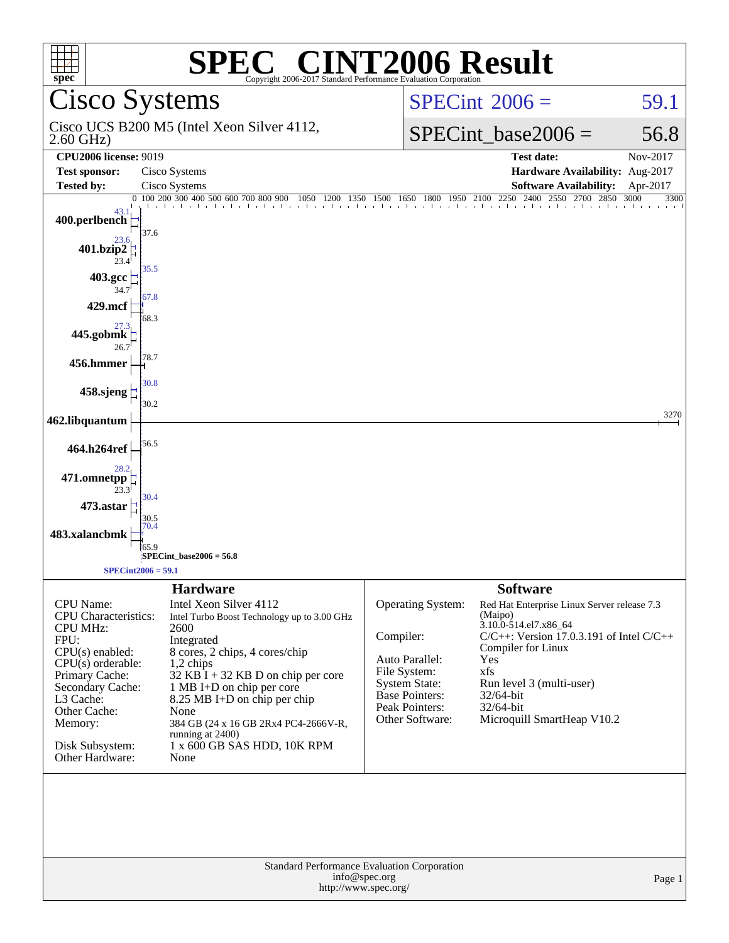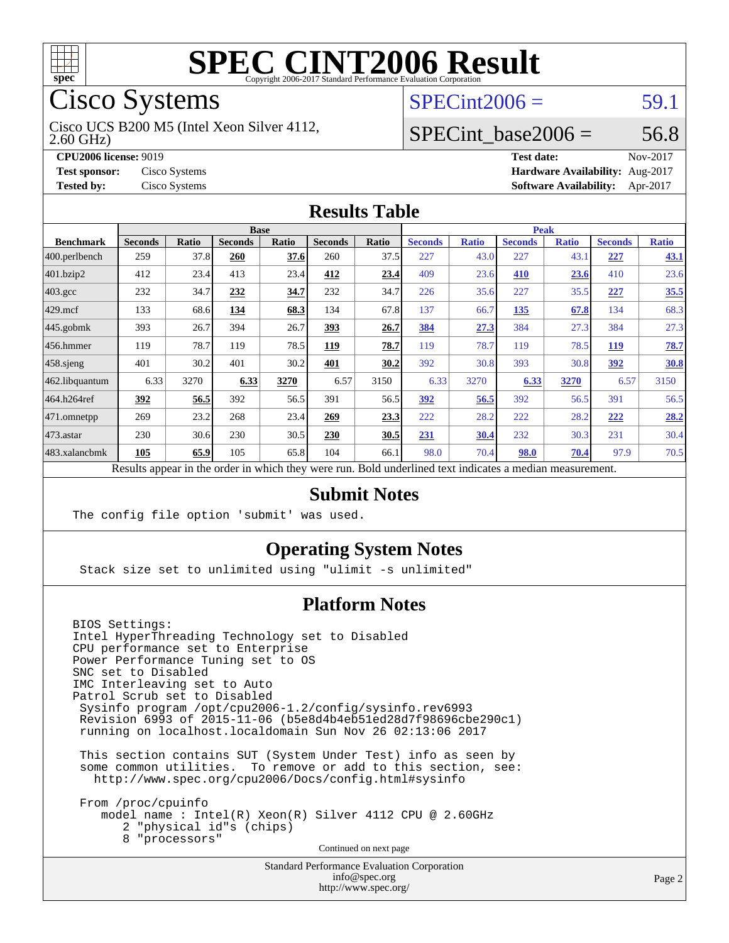

# Cisco Systems

2.60 GHz) Cisco UCS B200 M5 (Intel Xeon Silver 4112,

### $SPECint2006 = 59.1$  $SPECint2006 = 59.1$

#### SPECint base2006 =  $56.8$

**[CPU2006 license:](http://www.spec.org/auto/cpu2006/Docs/result-fields.html#CPU2006license)** 9019 **[Test date:](http://www.spec.org/auto/cpu2006/Docs/result-fields.html#Testdate)** Nov-2017 **[Test sponsor:](http://www.spec.org/auto/cpu2006/Docs/result-fields.html#Testsponsor)** Cisco Systems **[Hardware Availability:](http://www.spec.org/auto/cpu2006/Docs/result-fields.html#HardwareAvailability)** Aug-2017 **[Tested by:](http://www.spec.org/auto/cpu2006/Docs/result-fields.html#Testedby)** Cisco Systems **[Software Availability:](http://www.spec.org/auto/cpu2006/Docs/result-fields.html#SoftwareAvailability)** Apr-2017

#### **[Results Table](http://www.spec.org/auto/cpu2006/Docs/result-fields.html#ResultsTable)**

|                                                                                                          | <b>Base</b>    |       |                |       |                |       | <b>Peak</b>    |              |                |              |                |              |
|----------------------------------------------------------------------------------------------------------|----------------|-------|----------------|-------|----------------|-------|----------------|--------------|----------------|--------------|----------------|--------------|
| <b>Benchmark</b>                                                                                         | <b>Seconds</b> | Ratio | <b>Seconds</b> | Ratio | <b>Seconds</b> | Ratio | <b>Seconds</b> | <b>Ratio</b> | <b>Seconds</b> | <b>Ratio</b> | <b>Seconds</b> | <b>Ratio</b> |
| $ 400.\text{perlbench}$                                                                                  | 259            | 37.8  | 260            | 37.6  | 260            | 37.5  | 227            | 43.0         | 227            | 43.1         | 227            | <b>43.1</b>  |
| 401.bzip2                                                                                                | 412            | 23.4  | 413            | 23.4  | 412            | 23.4  | 409            | 23.6         | 410            | 23.6         | 410            | 23.6         |
| $403.\text{gcc}$                                                                                         | 232            | 34.7  | 232            | 34.7  | 232            | 34.7  | 226            | 35.6         | 227            | 35.5         | 227            | 35.5         |
| $429$ mcf                                                                                                | 133            | 68.6  | 134            | 68.3  | 134            | 67.8  | 137            | 66.7         | 135            | 67.8         | 134            | 68.3         |
| $445$ .gobmk                                                                                             | 393            | 26.7  | 394            | 26.7  | 393            | 26.7  | 384            | 27.3         | 384            | 27.3         | 384            | 27.3         |
| $ 456$ .hmmer                                                                                            | 119            | 78.7  | 119            | 78.5  | 119            | 78.7  | 119            | 78.7         | 119            | 78.5         | 119            | 78.7         |
| $458$ .sjeng                                                                                             | 401            | 30.2  | 401            | 30.2  | 401            | 30.2  | 392            | 30.8         | 393            | 30.8         | 392            | 30.8         |
| 462.libquantum                                                                                           | 6.33           | 3270  | 6.33           | 3270  | 6.57           | 3150  | 6.33           | 3270         | 6.33           | 3270         | 6.57           | 3150         |
| 464.h264ref                                                                                              | 392            | 56.5  | 392            | 56.5  | 391            | 56.5  | 392            | 56.5         | 392            | 56.5         | 391            | 56.5         |
| 471.omnetpp                                                                                              | 269            | 23.2  | 268            | 23.4  | 269            | 23.3  | 222            | 28.2         | 222            | 28.2         | 222            | 28.2         |
| $473$ . astar                                                                                            | 230            | 30.6  | 230            | 30.5  | 230            | 30.5  | 231            | 30.4         | 232            | 30.3         | 231            | 30.4         |
| 483.xalancbmk                                                                                            | 105            | 65.9  | 105            | 65.8  | 104            | 66.1  | 98.0           | 70.4         | 98.0           | 70.4         | 97.9           | 70.5         |
| Results appear in the order in which they were run. Bold underlined text indicates a median measurement. |                |       |                |       |                |       |                |              |                |              |                |              |

**[Submit Notes](http://www.spec.org/auto/cpu2006/Docs/result-fields.html#SubmitNotes)**

The config file option 'submit' was used.

#### **[Operating System Notes](http://www.spec.org/auto/cpu2006/Docs/result-fields.html#OperatingSystemNotes)**

Stack size set to unlimited using "ulimit -s unlimited"

#### **[Platform Notes](http://www.spec.org/auto/cpu2006/Docs/result-fields.html#PlatformNotes)**

BIOS Settings: Intel HyperThreading Technology set to Disabled CPU performance set to Enterprise Power Performance Tuning set to OS SNC set to Disabled IMC Interleaving set to Auto Patrol Scrub set to Disabled Sysinfo program /opt/cpu2006-1.2/config/sysinfo.rev6993 Revision 6993 of 2015-11-06 (b5e8d4b4eb51ed28d7f98696cbe290c1) running on localhost.localdomain Sun Nov 26 02:13:06 2017 This section contains SUT (System Under Test) info as seen by some common utilities. To remove or add to this section, see: <http://www.spec.org/cpu2006/Docs/config.html#sysinfo> From /proc/cpuinfo model name : Intel(R) Xeon(R) Silver 4112 CPU @ 2.60GHz 2 "physical id"s (chips) 8 "processors" Continued on next page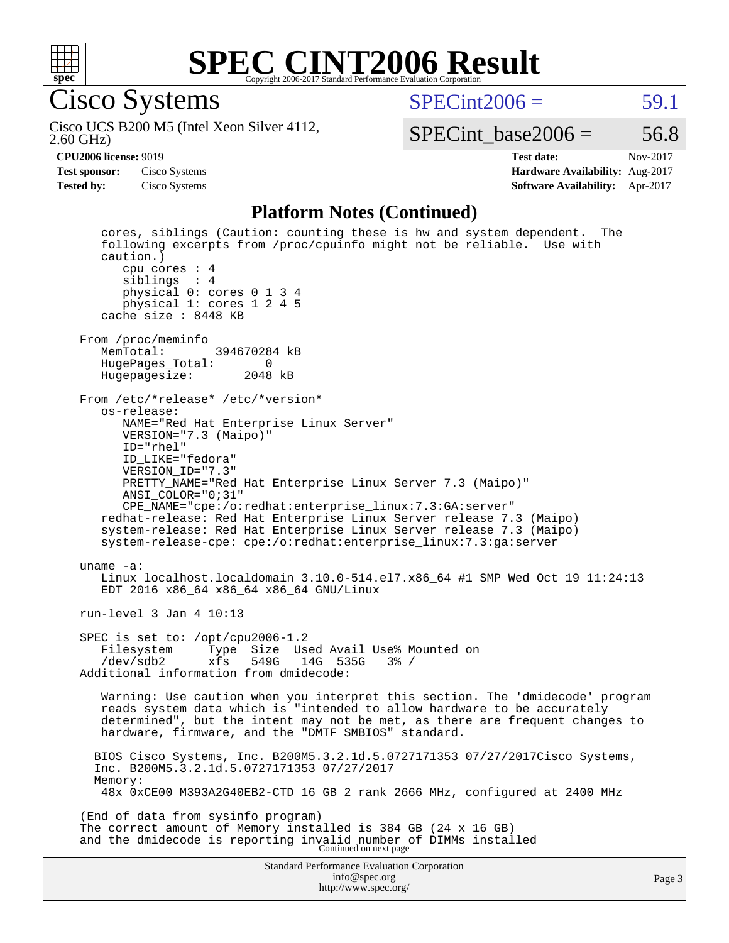

Cisco Systems

 $SPECint2006 = 59.1$  $SPECint2006 = 59.1$ 

2.60 GHz) Cisco UCS B200 M5 (Intel Xeon Silver 4112,

SPECint base2006 =  $56.8$ 

**[CPU2006 license:](http://www.spec.org/auto/cpu2006/Docs/result-fields.html#CPU2006license)** 9019 **[Test date:](http://www.spec.org/auto/cpu2006/Docs/result-fields.html#Testdate)** Nov-2017 **[Test sponsor:](http://www.spec.org/auto/cpu2006/Docs/result-fields.html#Testsponsor)** Cisco Systems **[Hardware Availability:](http://www.spec.org/auto/cpu2006/Docs/result-fields.html#HardwareAvailability)** Aug-2017 **[Tested by:](http://www.spec.org/auto/cpu2006/Docs/result-fields.html#Testedby)** Cisco Systems **[Software Availability:](http://www.spec.org/auto/cpu2006/Docs/result-fields.html#SoftwareAvailability)** Apr-2017

#### **[Platform Notes \(Continued\)](http://www.spec.org/auto/cpu2006/Docs/result-fields.html#PlatformNotes)**

Standard Performance Evaluation Corporation [info@spec.org](mailto:info@spec.org) <http://www.spec.org/> Page 3 cores, siblings (Caution: counting these is hw and system dependent. The following excerpts from /proc/cpuinfo might not be reliable. Use with caution.) cpu cores : 4 siblings : 4 physical 0: cores 0 1 3 4 physical 1: cores 1 2 4 5 cache size : 8448 KB From /proc/meminfo<br>MemTotal: 394670284 kB HugePages\_Total: 0 Hugepagesize: 2048 kB From /etc/\*release\* /etc/\*version\* os-release: NAME="Red Hat Enterprise Linux Server" VERSION="7.3 (Maipo)" ID="rhel" ID\_LIKE="fedora" VERSION\_ID="7.3" PRETTY\_NAME="Red Hat Enterprise Linux Server 7.3 (Maipo)" ANSI\_COLOR="0;31" CPE\_NAME="cpe:/o:redhat:enterprise\_linux:7.3:GA:server" redhat-release: Red Hat Enterprise Linux Server release 7.3 (Maipo) system-release: Red Hat Enterprise Linux Server release 7.3 (Maipo) system-release-cpe: cpe:/o:redhat:enterprise\_linux:7.3:ga:server uname -a: Linux localhost.localdomain 3.10.0-514.el7.x86\_64 #1 SMP Wed Oct 19 11:24:13 EDT 2016 x86\_64 x86\_64 x86\_64 GNU/Linux run-level 3 Jan 4 10:13 SPEC is set to: /opt/cpu2006-1.2 Filesystem Type Size Used Avail Use% Mounted on<br>/dev/sdb2 xfs 549G 14G 535G 3% / /dev/sdb2 xfs 549G 14G 535G 3% / Additional information from dmidecode: Warning: Use caution when you interpret this section. The 'dmidecode' program reads system data which is "intended to allow hardware to be accurately determined", but the intent may not be met, as there are frequent changes to hardware, firmware, and the "DMTF SMBIOS" standard. BIOS Cisco Systems, Inc. B200M5.3.2.1d.5.0727171353 07/27/2017Cisco Systems, Inc. B200M5.3.2.1d.5.0727171353 07/27/2017 Memory: 48x 0xCE00 M393A2G40EB2-CTD 16 GB 2 rank 2666 MHz, configured at 2400 MHz (End of data from sysinfo program) The correct amount of Memory installed is 384 GB (24 x 16 GB) and the dmidecode is reporting invalid number of DIMMs installed Continued on next page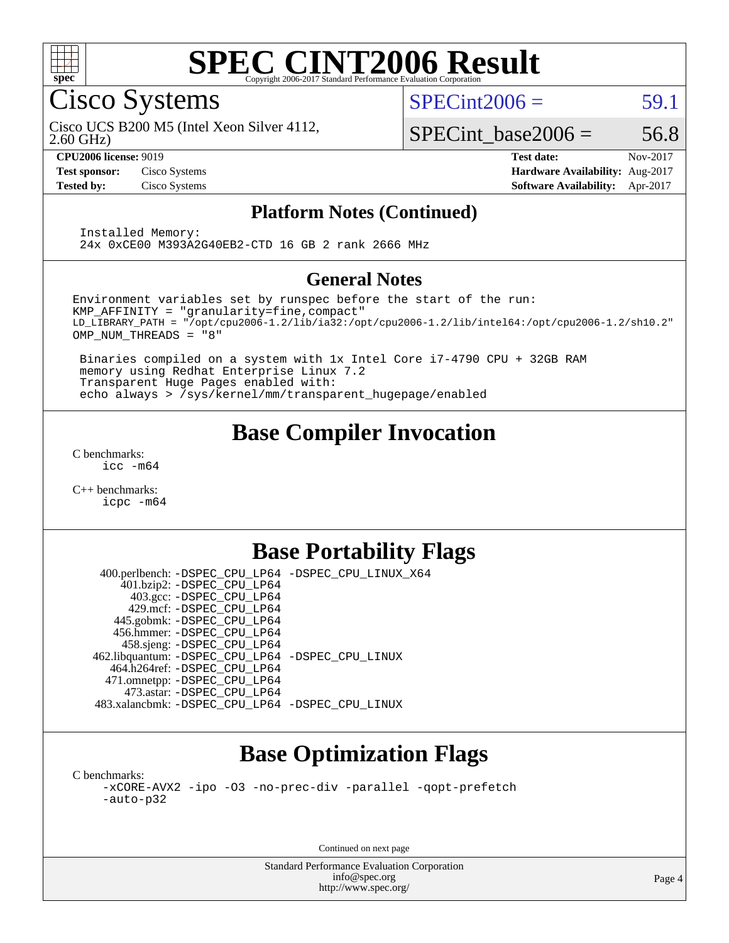

Cisco Systems

 $SPECint2006 = 59.1$  $SPECint2006 = 59.1$ 

2.60 GHz) Cisco UCS B200 M5 (Intel Xeon Silver 4112,

SPECint base2006 =  $56.8$ **[CPU2006 license:](http://www.spec.org/auto/cpu2006/Docs/result-fields.html#CPU2006license)** 9019 **[Test date:](http://www.spec.org/auto/cpu2006/Docs/result-fields.html#Testdate)** Nov-2017

**[Test sponsor:](http://www.spec.org/auto/cpu2006/Docs/result-fields.html#Testsponsor)** Cisco Systems **[Hardware Availability:](http://www.spec.org/auto/cpu2006/Docs/result-fields.html#HardwareAvailability)** Aug-2017 **[Tested by:](http://www.spec.org/auto/cpu2006/Docs/result-fields.html#Testedby)** Cisco Systems **[Software Availability:](http://www.spec.org/auto/cpu2006/Docs/result-fields.html#SoftwareAvailability)** Apr-2017

#### **[Platform Notes \(Continued\)](http://www.spec.org/auto/cpu2006/Docs/result-fields.html#PlatformNotes)**

 Installed Memory: 24x 0xCE00 M393A2G40EB2-CTD 16 GB 2 rank 2666 MHz

#### **[General Notes](http://www.spec.org/auto/cpu2006/Docs/result-fields.html#GeneralNotes)**

Environment variables set by runspec before the start of the run: KMP\_AFFINITY = "granularity=fine,compact" LD\_LIBRARY\_PATH = "/opt/cpu2006-1.2/lib/ia32:/opt/cpu2006-1.2/lib/intel64:/opt/cpu2006-1.2/sh10.2" OMP\_NUM\_THREADS = "8"

 Binaries compiled on a system with 1x Intel Core i7-4790 CPU + 32GB RAM memory using Redhat Enterprise Linux 7.2 Transparent Huge Pages enabled with: echo always > /sys/kernel/mm/transparent\_hugepage/enabled

### **[Base Compiler Invocation](http://www.spec.org/auto/cpu2006/Docs/result-fields.html#BaseCompilerInvocation)**

[C benchmarks](http://www.spec.org/auto/cpu2006/Docs/result-fields.html#Cbenchmarks): [icc -m64](http://www.spec.org/cpu2006/results/res2017q4/cpu2006-20171128-50906.flags.html#user_CCbase_intel_icc_64bit_bda6cc9af1fdbb0edc3795bac97ada53)

[C++ benchmarks:](http://www.spec.org/auto/cpu2006/Docs/result-fields.html#CXXbenchmarks) [icpc -m64](http://www.spec.org/cpu2006/results/res2017q4/cpu2006-20171128-50906.flags.html#user_CXXbase_intel_icpc_64bit_fc66a5337ce925472a5c54ad6a0de310)

### **[Base Portability Flags](http://www.spec.org/auto/cpu2006/Docs/result-fields.html#BasePortabilityFlags)**

 400.perlbench: [-DSPEC\\_CPU\\_LP64](http://www.spec.org/cpu2006/results/res2017q4/cpu2006-20171128-50906.flags.html#b400.perlbench_basePORTABILITY_DSPEC_CPU_LP64) [-DSPEC\\_CPU\\_LINUX\\_X64](http://www.spec.org/cpu2006/results/res2017q4/cpu2006-20171128-50906.flags.html#b400.perlbench_baseCPORTABILITY_DSPEC_CPU_LINUX_X64) 401.bzip2: [-DSPEC\\_CPU\\_LP64](http://www.spec.org/cpu2006/results/res2017q4/cpu2006-20171128-50906.flags.html#suite_basePORTABILITY401_bzip2_DSPEC_CPU_LP64) 403.gcc: [-DSPEC\\_CPU\\_LP64](http://www.spec.org/cpu2006/results/res2017q4/cpu2006-20171128-50906.flags.html#suite_basePORTABILITY403_gcc_DSPEC_CPU_LP64) 429.mcf: [-DSPEC\\_CPU\\_LP64](http://www.spec.org/cpu2006/results/res2017q4/cpu2006-20171128-50906.flags.html#suite_basePORTABILITY429_mcf_DSPEC_CPU_LP64) 445.gobmk: [-DSPEC\\_CPU\\_LP64](http://www.spec.org/cpu2006/results/res2017q4/cpu2006-20171128-50906.flags.html#suite_basePORTABILITY445_gobmk_DSPEC_CPU_LP64) 456.hmmer: [-DSPEC\\_CPU\\_LP64](http://www.spec.org/cpu2006/results/res2017q4/cpu2006-20171128-50906.flags.html#suite_basePORTABILITY456_hmmer_DSPEC_CPU_LP64) 458.sjeng: [-DSPEC\\_CPU\\_LP64](http://www.spec.org/cpu2006/results/res2017q4/cpu2006-20171128-50906.flags.html#suite_basePORTABILITY458_sjeng_DSPEC_CPU_LP64) 462.libquantum: [-DSPEC\\_CPU\\_LP64](http://www.spec.org/cpu2006/results/res2017q4/cpu2006-20171128-50906.flags.html#suite_basePORTABILITY462_libquantum_DSPEC_CPU_LP64) [-DSPEC\\_CPU\\_LINUX](http://www.spec.org/cpu2006/results/res2017q4/cpu2006-20171128-50906.flags.html#b462.libquantum_baseCPORTABILITY_DSPEC_CPU_LINUX) 464.h264ref: [-DSPEC\\_CPU\\_LP64](http://www.spec.org/cpu2006/results/res2017q4/cpu2006-20171128-50906.flags.html#suite_basePORTABILITY464_h264ref_DSPEC_CPU_LP64) 471.omnetpp: [-DSPEC\\_CPU\\_LP64](http://www.spec.org/cpu2006/results/res2017q4/cpu2006-20171128-50906.flags.html#suite_basePORTABILITY471_omnetpp_DSPEC_CPU_LP64) 473.astar: [-DSPEC\\_CPU\\_LP64](http://www.spec.org/cpu2006/results/res2017q4/cpu2006-20171128-50906.flags.html#suite_basePORTABILITY473_astar_DSPEC_CPU_LP64) 483.xalancbmk: [-DSPEC\\_CPU\\_LP64](http://www.spec.org/cpu2006/results/res2017q4/cpu2006-20171128-50906.flags.html#suite_basePORTABILITY483_xalancbmk_DSPEC_CPU_LP64) [-DSPEC\\_CPU\\_LINUX](http://www.spec.org/cpu2006/results/res2017q4/cpu2006-20171128-50906.flags.html#b483.xalancbmk_baseCXXPORTABILITY_DSPEC_CPU_LINUX)

## **[Base Optimization Flags](http://www.spec.org/auto/cpu2006/Docs/result-fields.html#BaseOptimizationFlags)**

[C benchmarks](http://www.spec.org/auto/cpu2006/Docs/result-fields.html#Cbenchmarks): [-xCORE-AVX2](http://www.spec.org/cpu2006/results/res2017q4/cpu2006-20171128-50906.flags.html#user_CCbase_f-xCORE-AVX2) [-ipo](http://www.spec.org/cpu2006/results/res2017q4/cpu2006-20171128-50906.flags.html#user_CCbase_f-ipo) [-O3](http://www.spec.org/cpu2006/results/res2017q4/cpu2006-20171128-50906.flags.html#user_CCbase_f-O3) [-no-prec-div](http://www.spec.org/cpu2006/results/res2017q4/cpu2006-20171128-50906.flags.html#user_CCbase_f-no-prec-div) [-parallel](http://www.spec.org/cpu2006/results/res2017q4/cpu2006-20171128-50906.flags.html#user_CCbase_f-parallel) [-qopt-prefetch](http://www.spec.org/cpu2006/results/res2017q4/cpu2006-20171128-50906.flags.html#user_CCbase_f-qopt-prefetch) [-auto-p32](http://www.spec.org/cpu2006/results/res2017q4/cpu2006-20171128-50906.flags.html#user_CCbase_f-auto-p32)

Continued on next page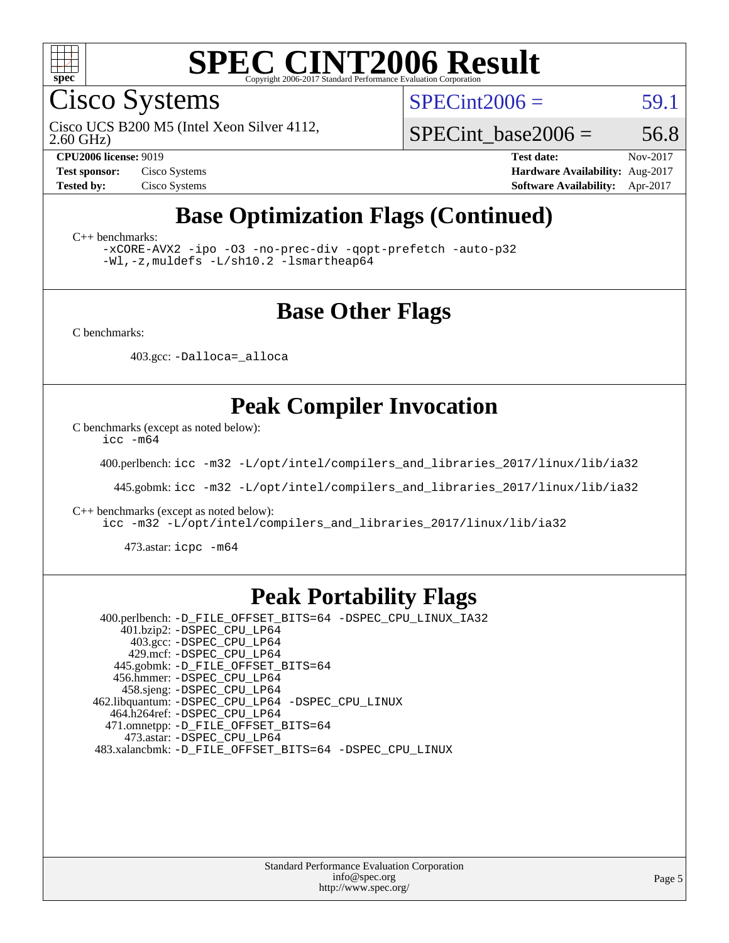

Cisco Systems

 $SPECint2006 = 59.1$  $SPECint2006 = 59.1$ 

2.60 GHz) Cisco UCS B200 M5 (Intel Xeon Silver 4112,

SPECint base2006 =  $56.8$ 

**[CPU2006 license:](http://www.spec.org/auto/cpu2006/Docs/result-fields.html#CPU2006license)** 9019 **[Test date:](http://www.spec.org/auto/cpu2006/Docs/result-fields.html#Testdate)** Nov-2017 **[Test sponsor:](http://www.spec.org/auto/cpu2006/Docs/result-fields.html#Testsponsor)** Cisco Systems **[Hardware Availability:](http://www.spec.org/auto/cpu2006/Docs/result-fields.html#HardwareAvailability)** Aug-2017 **[Tested by:](http://www.spec.org/auto/cpu2006/Docs/result-fields.html#Testedby)** Cisco Systems **[Software Availability:](http://www.spec.org/auto/cpu2006/Docs/result-fields.html#SoftwareAvailability)** Apr-2017

## **[Base Optimization Flags \(Continued\)](http://www.spec.org/auto/cpu2006/Docs/result-fields.html#BaseOptimizationFlags)**

[C++ benchmarks:](http://www.spec.org/auto/cpu2006/Docs/result-fields.html#CXXbenchmarks)

[-xCORE-AVX2](http://www.spec.org/cpu2006/results/res2017q4/cpu2006-20171128-50906.flags.html#user_CXXbase_f-xCORE-AVX2) [-ipo](http://www.spec.org/cpu2006/results/res2017q4/cpu2006-20171128-50906.flags.html#user_CXXbase_f-ipo) [-O3](http://www.spec.org/cpu2006/results/res2017q4/cpu2006-20171128-50906.flags.html#user_CXXbase_f-O3) [-no-prec-div](http://www.spec.org/cpu2006/results/res2017q4/cpu2006-20171128-50906.flags.html#user_CXXbase_f-no-prec-div) [-qopt-prefetch](http://www.spec.org/cpu2006/results/res2017q4/cpu2006-20171128-50906.flags.html#user_CXXbase_f-qopt-prefetch) [-auto-p32](http://www.spec.org/cpu2006/results/res2017q4/cpu2006-20171128-50906.flags.html#user_CXXbase_f-auto-p32) [-Wl,-z,muldefs](http://www.spec.org/cpu2006/results/res2017q4/cpu2006-20171128-50906.flags.html#user_CXXbase_link_force_multiple1_74079c344b956b9658436fd1b6dd3a8a) [-L/sh10.2 -lsmartheap64](http://www.spec.org/cpu2006/results/res2017q4/cpu2006-20171128-50906.flags.html#user_CXXbase_SmartHeap64_63911d860fc08c15fa1d5bf319b9d8d5)

### **[Base Other Flags](http://www.spec.org/auto/cpu2006/Docs/result-fields.html#BaseOtherFlags)**

[C benchmarks](http://www.spec.org/auto/cpu2006/Docs/result-fields.html#Cbenchmarks):

403.gcc: [-Dalloca=\\_alloca](http://www.spec.org/cpu2006/results/res2017q4/cpu2006-20171128-50906.flags.html#b403.gcc_baseEXTRA_CFLAGS_Dalloca_be3056838c12de2578596ca5467af7f3)

### **[Peak Compiler Invocation](http://www.spec.org/auto/cpu2006/Docs/result-fields.html#PeakCompilerInvocation)**

[C benchmarks \(except as noted below\)](http://www.spec.org/auto/cpu2006/Docs/result-fields.html#Cbenchmarksexceptasnotedbelow):

[icc -m64](http://www.spec.org/cpu2006/results/res2017q4/cpu2006-20171128-50906.flags.html#user_CCpeak_intel_icc_64bit_bda6cc9af1fdbb0edc3795bac97ada53)

400.perlbench: [icc -m32 -L/opt/intel/compilers\\_and\\_libraries\\_2017/linux/lib/ia32](http://www.spec.org/cpu2006/results/res2017q4/cpu2006-20171128-50906.flags.html#user_peakCCLD400_perlbench_intel_icc_c29f3ff5a7ed067b11e4ec10a03f03ae)

445.gobmk: [icc -m32 -L/opt/intel/compilers\\_and\\_libraries\\_2017/linux/lib/ia32](http://www.spec.org/cpu2006/results/res2017q4/cpu2006-20171128-50906.flags.html#user_peakCCLD445_gobmk_intel_icc_c29f3ff5a7ed067b11e4ec10a03f03ae)

[C++ benchmarks \(except as noted below\):](http://www.spec.org/auto/cpu2006/Docs/result-fields.html#CXXbenchmarksexceptasnotedbelow)

[icc -m32 -L/opt/intel/compilers\\_and\\_libraries\\_2017/linux/lib/ia32](http://www.spec.org/cpu2006/results/res2017q4/cpu2006-20171128-50906.flags.html#user_CXXpeak_intel_icc_c29f3ff5a7ed067b11e4ec10a03f03ae)

473.astar: [icpc -m64](http://www.spec.org/cpu2006/results/res2017q4/cpu2006-20171128-50906.flags.html#user_peakCXXLD473_astar_intel_icpc_64bit_fc66a5337ce925472a5c54ad6a0de310)

#### **[Peak Portability Flags](http://www.spec.org/auto/cpu2006/Docs/result-fields.html#PeakPortabilityFlags)**

 400.perlbench: [-D\\_FILE\\_OFFSET\\_BITS=64](http://www.spec.org/cpu2006/results/res2017q4/cpu2006-20171128-50906.flags.html#user_peakPORTABILITY400_perlbench_file_offset_bits_64_438cf9856305ebd76870a2c6dc2689ab) [-DSPEC\\_CPU\\_LINUX\\_IA32](http://www.spec.org/cpu2006/results/res2017q4/cpu2006-20171128-50906.flags.html#b400.perlbench_peakCPORTABILITY_DSPEC_CPU_LINUX_IA32) 401.bzip2: [-DSPEC\\_CPU\\_LP64](http://www.spec.org/cpu2006/results/res2017q4/cpu2006-20171128-50906.flags.html#suite_peakPORTABILITY401_bzip2_DSPEC_CPU_LP64) 403.gcc: [-DSPEC\\_CPU\\_LP64](http://www.spec.org/cpu2006/results/res2017q4/cpu2006-20171128-50906.flags.html#suite_peakPORTABILITY403_gcc_DSPEC_CPU_LP64) 429.mcf: [-DSPEC\\_CPU\\_LP64](http://www.spec.org/cpu2006/results/res2017q4/cpu2006-20171128-50906.flags.html#suite_peakPORTABILITY429_mcf_DSPEC_CPU_LP64) 445.gobmk: [-D\\_FILE\\_OFFSET\\_BITS=64](http://www.spec.org/cpu2006/results/res2017q4/cpu2006-20171128-50906.flags.html#user_peakPORTABILITY445_gobmk_file_offset_bits_64_438cf9856305ebd76870a2c6dc2689ab) 456.hmmer: [-DSPEC\\_CPU\\_LP64](http://www.spec.org/cpu2006/results/res2017q4/cpu2006-20171128-50906.flags.html#suite_peakPORTABILITY456_hmmer_DSPEC_CPU_LP64) 458.sjeng: [-DSPEC\\_CPU\\_LP64](http://www.spec.org/cpu2006/results/res2017q4/cpu2006-20171128-50906.flags.html#suite_peakPORTABILITY458_sjeng_DSPEC_CPU_LP64) 462.libquantum: [-DSPEC\\_CPU\\_LP64](http://www.spec.org/cpu2006/results/res2017q4/cpu2006-20171128-50906.flags.html#suite_peakPORTABILITY462_libquantum_DSPEC_CPU_LP64) [-DSPEC\\_CPU\\_LINUX](http://www.spec.org/cpu2006/results/res2017q4/cpu2006-20171128-50906.flags.html#b462.libquantum_peakCPORTABILITY_DSPEC_CPU_LINUX) 464.h264ref: [-DSPEC\\_CPU\\_LP64](http://www.spec.org/cpu2006/results/res2017q4/cpu2006-20171128-50906.flags.html#suite_peakPORTABILITY464_h264ref_DSPEC_CPU_LP64) 471.omnetpp: [-D\\_FILE\\_OFFSET\\_BITS=64](http://www.spec.org/cpu2006/results/res2017q4/cpu2006-20171128-50906.flags.html#user_peakPORTABILITY471_omnetpp_file_offset_bits_64_438cf9856305ebd76870a2c6dc2689ab) 473.astar: [-DSPEC\\_CPU\\_LP64](http://www.spec.org/cpu2006/results/res2017q4/cpu2006-20171128-50906.flags.html#suite_peakPORTABILITY473_astar_DSPEC_CPU_LP64) 483.xalancbmk: [-D\\_FILE\\_OFFSET\\_BITS=64](http://www.spec.org/cpu2006/results/res2017q4/cpu2006-20171128-50906.flags.html#user_peakPORTABILITY483_xalancbmk_file_offset_bits_64_438cf9856305ebd76870a2c6dc2689ab) [-DSPEC\\_CPU\\_LINUX](http://www.spec.org/cpu2006/results/res2017q4/cpu2006-20171128-50906.flags.html#b483.xalancbmk_peakCXXPORTABILITY_DSPEC_CPU_LINUX)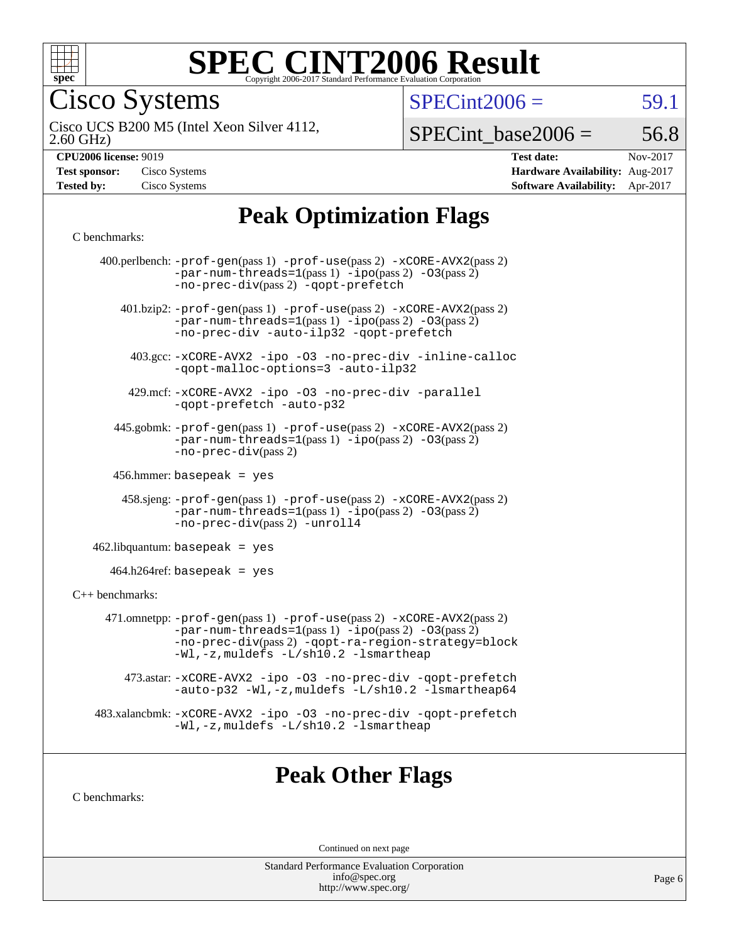

Cisco Systems

 $SPECint2006 = 59.1$  $SPECint2006 = 59.1$ 

2.60 GHz) Cisco UCS B200 M5 (Intel Xeon Silver 4112,

 $SPECTnt\_base2006 = 56.8$ 

| <b>Test sponsor:</b> | Cisco Systems |
|----------------------|---------------|
| <b>Tested by:</b>    | Cisco Systems |

**[CPU2006 license:](http://www.spec.org/auto/cpu2006/Docs/result-fields.html#CPU2006license)** 9019 **[Test date:](http://www.spec.org/auto/cpu2006/Docs/result-fields.html#Testdate)** Nov-2017 **[Hardware Availability:](http://www.spec.org/auto/cpu2006/Docs/result-fields.html#HardwareAvailability)** Aug-2017 **[Software Availability:](http://www.spec.org/auto/cpu2006/Docs/result-fields.html#SoftwareAvailability)** Apr-2017

## **[Peak Optimization Flags](http://www.spec.org/auto/cpu2006/Docs/result-fields.html#PeakOptimizationFlags)**

#### [C benchmarks](http://www.spec.org/auto/cpu2006/Docs/result-fields.html#Cbenchmarks):

|                   | 400.perlbench: $-prof-gen(pass 1)$ $-prof-use(pass 2)$ $-xCORE-AVX2(pass 2)$<br>$-par-num-threads=1(pass 1) -ipo(pass 2) -03(pass 2)$<br>-no-prec-div(pass 2) -qopt-prefetch                                                  |
|-------------------|-------------------------------------------------------------------------------------------------------------------------------------------------------------------------------------------------------------------------------|
|                   | 401.bzip2: -prof-gen(pass 1) -prof-use(pass 2) -xCORE-AVX2(pass 2)<br>$-par-num-threads=1(pass 1) -ipo(pass 2) -03(pass 2)$<br>-no-prec-div -auto-ilp32 -qopt-prefetch                                                        |
|                   | 403.gcc: -xCORE-AVX2 -ipo -03 -no-prec-div -inline-calloc<br>-qopt-malloc-options=3 -auto-ilp32                                                                                                                               |
|                   | 429.mcf: -xCORE-AVX2 -ipo -03 -no-prec-div -parallel<br>-gopt-prefetch -auto-p32                                                                                                                                              |
|                   | 445.gobmk: -prof-gen(pass 1) -prof-use(pass 2) -xCORE-AVX2(pass 2)<br>$-par-num-threads=1(pass 1) -ipo(pass 2) -03(pass 2)$<br>$-no-prec-div(pass 2)$                                                                         |
|                   | 456.hmmer: basepeak = $yes$                                                                                                                                                                                                   |
|                   | 458.sjeng: -prof-gen(pass 1) -prof-use(pass 2) -xCORE-AVX2(pass 2)<br>$-par-num-threads=1(pass 1) -ipo(pass 2) -03(pass 2)$<br>-no-prec-div(pass 2) -unroll4                                                                  |
|                   | $462$ .libquantum: basepeak = yes                                                                                                                                                                                             |
|                   | $464.h264$ ref: basepeak = yes                                                                                                                                                                                                |
| $C++$ benchmarks: |                                                                                                                                                                                                                               |
|                   | 471.omnetpp: -prof-gen(pass 1) -prof-use(pass 2) -xCORE-AVX2(pass 2)<br>$-par-num-threads=1(pass 1) -ipo(pass 2) -03(pass 2)$<br>-no-prec-div(pass 2) -qopt-ra-region-strategy=block<br>-Wl,-z, muldefs -L/sh10.2 -lsmartheap |
|                   | 473.astar: -xCORE-AVX2 -ipo -03 -no-prec-div -qopt-prefetch<br>-auto-p32 -Wl,-z, muldefs -L/sh10.2 -lsmartheap64                                                                                                              |
|                   | 483.xalancbmk: -xCORE-AVX2 -ipo -03 -no-prec-div -qopt-prefetch<br>-Wl,-z, muldefs -L/sh10.2 -lsmartheap                                                                                                                      |
|                   |                                                                                                                                                                                                                               |

### **[Peak Other Flags](http://www.spec.org/auto/cpu2006/Docs/result-fields.html#PeakOtherFlags)**

[C benchmarks](http://www.spec.org/auto/cpu2006/Docs/result-fields.html#Cbenchmarks):

Continued on next page